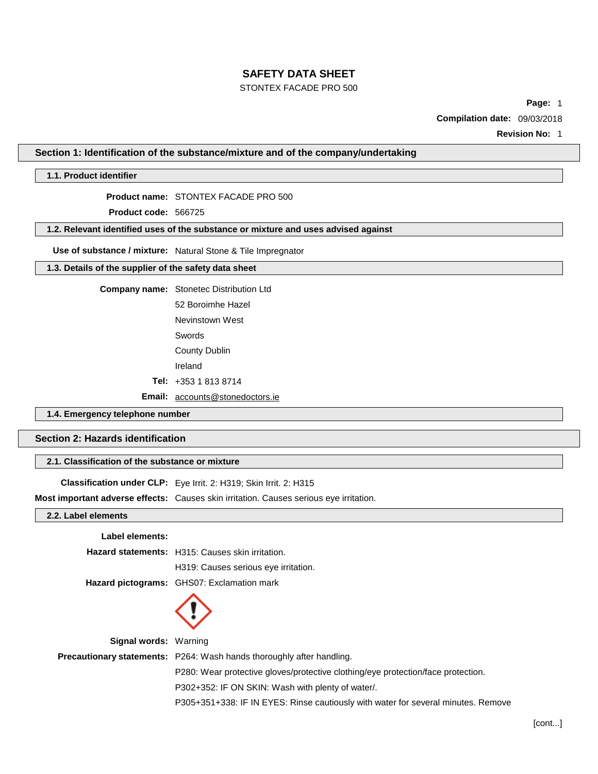## STONTEX FACADE PRO 500

**Page:** 1

**Compilation date:** 09/03/2018

**Revision No:** 1

**Section 1: Identification of the substance/mixture and of the company/undertaking**

## **1.1. Product identifier**

## **Product name:** STONTEX FACADE PRO 500

**Product code:** 566725

#### **1.2. Relevant identified uses of the substance or mixture and uses advised against**

**Use of substance / mixture:** Natural Stone & Tile Impregnator

## **1.3. Details of the supplier of the safety data sheet**

| <b>Company name:</b> Stonetec Distribution Ltd |  |  |
|------------------------------------------------|--|--|
| 52 Boroimhe Hazel                              |  |  |

Nevinstown West Swords

County Dublin

Ireland

**Tel:** +353 1 813 8714

**Email:** [accounts@stonedoctors.ie](mailto:accounts@stonedoctors.ie)

## **1.4. Emergency telephone number**

## **Section 2: Hazards identification**

## **2.1. Classification of the substance or mixture**

**Classification under CLP:** Eye Irrit. 2: H319; Skin Irrit. 2: H315

**Most important adverse effects:** Causes skin irritation. Causes serious eye irritation.

## **2.2. Label elements**

| Label elements:              |                                                                                   |
|------------------------------|-----------------------------------------------------------------------------------|
|                              | <b>Hazard statements:</b> H315: Causes skin irritation.                           |
|                              | H319: Causes serious eye irritation.                                              |
|                              | <b>Hazard pictograms:</b> GHS07: Exclamation mark                                 |
|                              |                                                                                   |
| <b>Signal words: Warning</b> |                                                                                   |
|                              | <b>Precautionary statements:</b> P264: Wash hands thoroughly after handling.      |
|                              | P280: Wear protective gloves/protective clothing/eye protection/face protection.  |
|                              | P302+352: IF ON SKIN: Wash with plenty of water/.                                 |
|                              | P305+351+338: IF IN EYES: Rinse cautiously with water for several minutes. Remove |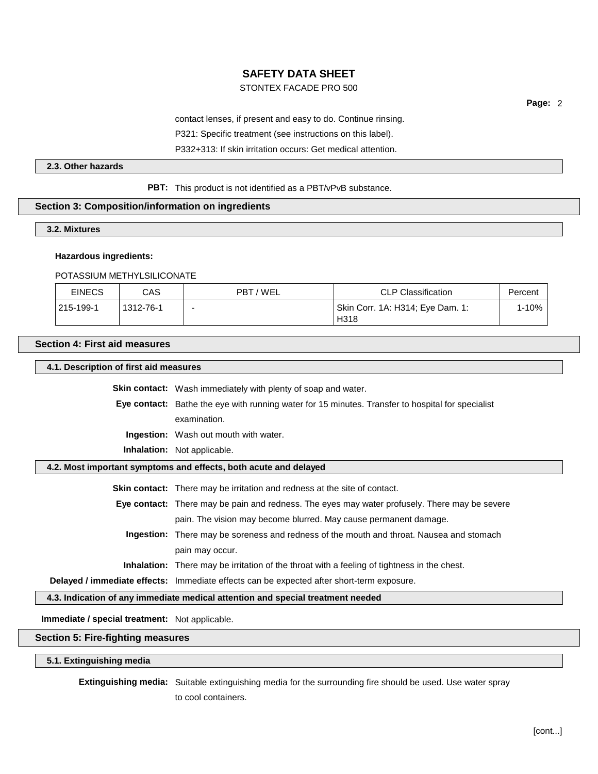## STONTEX FACADE PRO 500

**Page:** 2

contact lenses, if present and easy to do. Continue rinsing.

P321: Specific treatment (see instructions on this label).

P332+313: If skin irritation occurs: Get medical attention.

## **2.3. Other hazards**

### **PBT:** This product is not identified as a PBT/vPvB substance.

## **Section 3: Composition/information on ingredients**

#### **3.2. Mixtures**

#### **Hazardous ingredients:**

#### POTASSIUM METHYLSILICONATE

| <b>EINECS</b> | CAS       | PBT / WEL | <b>CLP Classification</b>                | Percent |
|---------------|-----------|-----------|------------------------------------------|---------|
| 215-199-1     | 1312-76-1 |           | Skin Corr. 1A: H314; Eye Dam. 1:<br>H318 | l-10%   |

## **Section 4: First aid measures**

**4.1. Description of first aid measures**

**Skin contact:** Wash immediately with plenty of soap and water. **Eye contact:** Bathe the eye with running water for 15 minutes. Transfer to hospital for specialist examination. **Ingestion:** Wash out mouth with water. **Inhalation:** Not applicable. **4.2. Most important symptoms and effects, both acute and delayed Skin contact:** There may be irritation and redness at the site of contact. **Eye contact:** There may be pain and redness. The eyes may water profusely. There may be severe pain. The vision may become blurred. May cause permanent damage. **Ingestion:** There may be soreness and redness of the mouth and throat. Nausea and stomach pain may occur. **Inhalation:** There may be irritation of the throat with a feeling of tightness in the chest. **Delayed / immediate effects:** Immediate effects can be expected after short-term exposure.

**4.3. Indication of any immediate medical attention and special treatment needed**

**Immediate / special treatment:** Not applicable.

#### **Section 5: Fire-fighting measures**

**5.1. Extinguishing media**

**Extinguishing media:** Suitable extinguishing media for the surrounding fire should be used. Use water spray

to cool containers.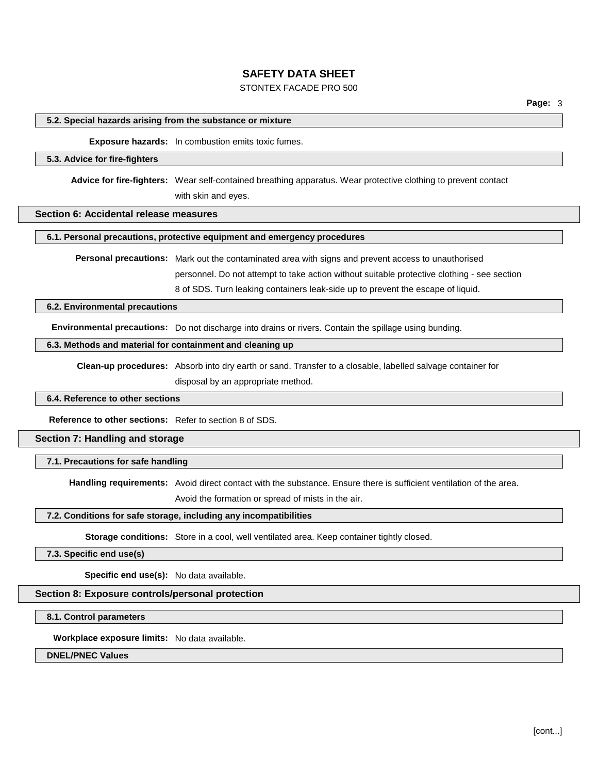## STONTEX FACADE PRO 500

#### **5.2. Special hazards arising from the substance or mixture**

### **Exposure hazards:** In combustion emits toxic fumes.

#### **5.3. Advice for fire-fighters**

**Advice for fire-fighters:** Wear self-contained breathing apparatus. Wear protective clothing to prevent contact

with skin and eyes.

### **Section 6: Accidental release measures**

**6.1. Personal precautions, protective equipment and emergency procedures**

**Personal precautions:** Mark out the contaminated area with signs and prevent access to unauthorised personnel. Do not attempt to take action without suitable protective clothing - see section

8 of SDS. Turn leaking containers leak-side up to prevent the escape of liquid.

#### **6.2. Environmental precautions**

**Environmental precautions:** Do not discharge into drains or rivers. Contain the spillage using bunding.

#### **6.3. Methods and material for containment and cleaning up**

**Clean-up procedures:** Absorb into dry earth or sand. Transfer to a closable, labelled salvage container for disposal by an appropriate method.

#### **6.4. Reference to other sections**

**Reference to other sections:** Refer to section 8 of SDS.

#### **Section 7: Handling and storage**

**7.1. Precautions for safe handling**

**Handling requirements:** Avoid direct contact with the substance. Ensure there is sufficient ventilation of the area.

Avoid the formation or spread of mists in the air.

#### **7.2. Conditions for safe storage, including any incompatibilities**

**Storage conditions:** Store in a cool, well ventilated area. Keep container tightly closed.

#### **7.3. Specific end use(s)**

**Specific end use(s):** No data available.

#### **Section 8: Exposure controls/personal protection**

**8.1. Control parameters**

**Workplace exposure limits:** No data available.

#### **DNEL/PNEC Values**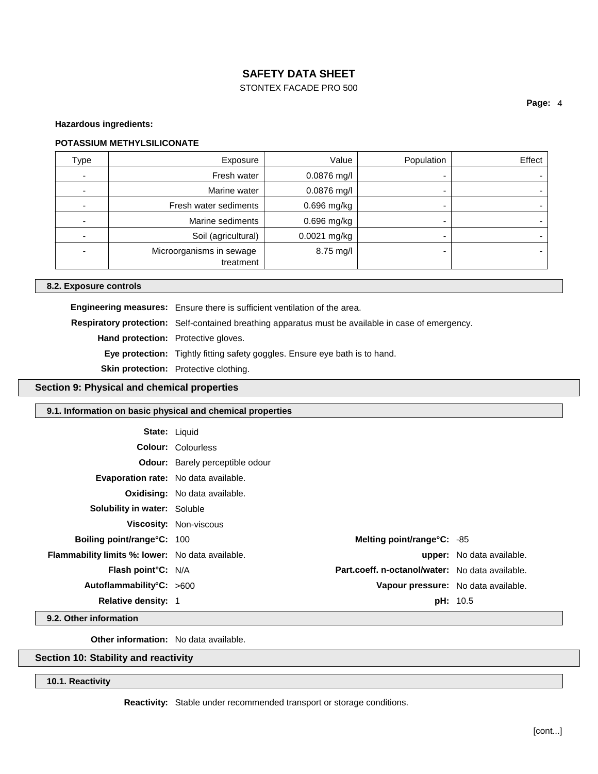## STONTEX FACADE PRO 500

## **Page:** 4

**Hazardous ingredients:**

#### **POTASSIUM METHYLSILICONATE**

| <b>Type</b>              | Exposure                              | Value        | Population | Effect |
|--------------------------|---------------------------------------|--------------|------------|--------|
| ٠                        | Fresh water                           | 0.0876 mg/l  |            |        |
| ۰                        | Marine water                          | 0.0876 mg/l  |            |        |
|                          | Fresh water sediments                 | 0.696 mg/kg  |            |        |
| $\overline{\phantom{0}}$ | Marine sediments                      | 0.696 mg/kg  |            |        |
| ٠                        | Soil (agricultural)                   | 0.0021 mg/kg |            |        |
| -                        | Microorganisms in sewage<br>treatment | 8.75 mg/l    |            |        |

#### **8.2. Exposure controls**

**Engineering measures:** Ensure there is sufficient ventilation of the area. **Respiratory protection:** Self-contained breathing apparatus must be available in case of emergency. **Hand protection:** Protective gloves. **Eye protection:** Tightly fitting safety goggles. Ensure eye bath is to hand. **Skin protection:** Protective clothing.

#### **Section 9: Physical and chemical properties**

#### **9.1. Information on basic physical and chemical properties**

| <b>State: Liquid</b>                                    |                                        |                                                 |                                  |
|---------------------------------------------------------|----------------------------------------|-------------------------------------------------|----------------------------------|
|                                                         | <b>Colour: Colourless</b>              |                                                 |                                  |
|                                                         | <b>Odour:</b> Barely perceptible odour |                                                 |                                  |
| <b>Evaporation rate:</b> No data available.             |                                        |                                                 |                                  |
|                                                         | <b>Oxidising:</b> No data available.   |                                                 |                                  |
| <b>Solubility in water:</b> Soluble                     |                                        |                                                 |                                  |
|                                                         | <b>Viscosity: Non-viscous</b>          |                                                 |                                  |
| Boiling point/range°C: 100                              |                                        | Melting point/range°C: -85                      |                                  |
| <b>Flammability limits %: lower:</b> No data available. |                                        |                                                 | <b>upper:</b> No data available. |
| <b>Flash point C: N/A</b>                               |                                        | Part.coeff. n-octanol/water: No data available. |                                  |
| Autoflammability°C: >600                                |                                        | Vapour pressure: No data available.             |                                  |
| <b>Relative density: 1</b>                              |                                        |                                                 | <b>pH:</b> 10.5                  |

**9.2. Other information**

**Other information:** No data available.

## **Section 10: Stability and reactivity**

## **10.1. Reactivity**

**Reactivity:** Stable under recommended transport or storage conditions.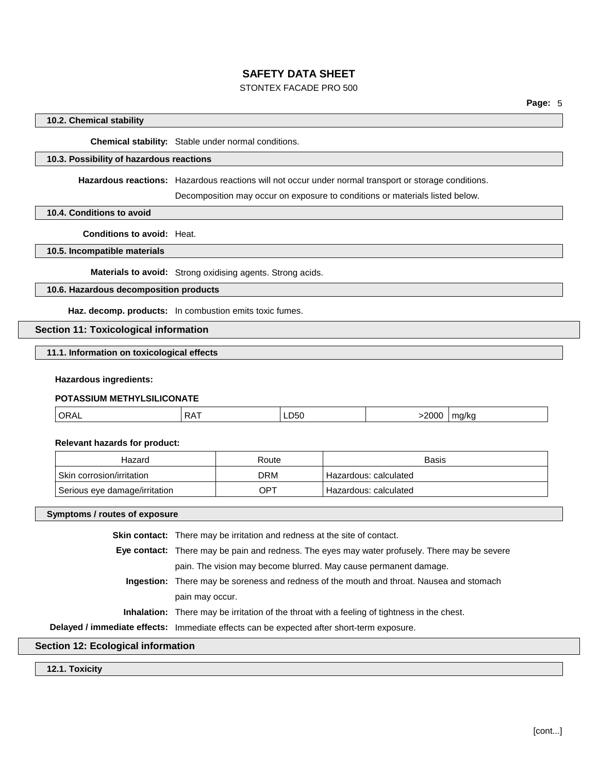## STONTEX FACADE PRO 500

#### **10.2. Chemical stability**

**Chemical stability:** Stable under normal conditions.

## **10.3. Possibility of hazardous reactions**

**Hazardous reactions:** Hazardous reactions will not occur under normal transport or storage conditions.

Decomposition may occur on exposure to conditions or materials listed below.

**10.4. Conditions to avoid**

**Conditions to avoid:** Heat.

## **10.5. Incompatible materials**

**Materials to avoid:** Strong oxidising agents. Strong acids.

## **10.6. Hazardous decomposition products**

**Haz. decomp. products:** In combustion emits toxic fumes.

**Section 11: Toxicological information**

**11.1. Information on toxicological effects**

#### **Hazardous ingredients:**

## **POTASSIUM METHYLSILICONATE**

| ORAL<br>– 50∟<br>'N<br>`M<br>__ |
|---------------------------------|
|---------------------------------|

#### **Relevant hazards for product:**

| Hazard                        | Route | Basis                   |
|-------------------------------|-------|-------------------------|
| Skin corrosion/irritation     | DRM   | Hazardous: calculated   |
| Serious eye damage/irritation | OPT   | ' Hazardous: calculated |

**Symptoms / routes of exposure**

| <b>Skin contact:</b> There may be irritation and redness at the site of contact.                   |
|----------------------------------------------------------------------------------------------------|
| Eye contact: There may be pain and redness. The eyes may water profusely. There may be severe      |
| pain. The vision may become blurred. May cause permanent damage.                                   |
| <b>Ingestion:</b> There may be soreness and redness of the mouth and throat. Nausea and stomach    |
| pain may occur.                                                                                    |
| <b>Inhalation:</b> There may be irritation of the throat with a feeling of tightness in the chest. |
| Delayed / immediate effects: Immediate effects can be expected after short-term exposure.          |
|                                                                                                    |

# **Section 12: Ecological information**

**12.1. Toxicity**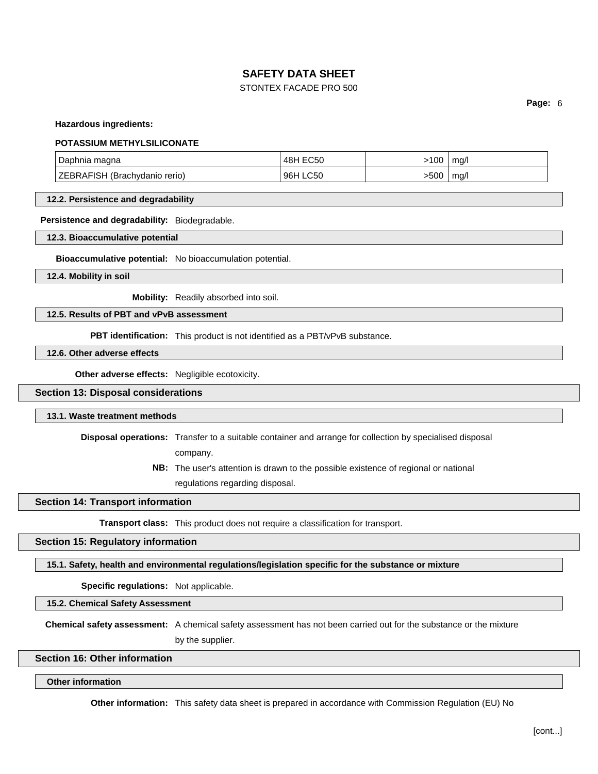## STONTEX FACADE PRO 500

**Page:** 6

**Hazardous ingredients:**

#### **POTASSIUM METHYLSILICONATE**

| <sup>1</sup> Daphnia magna           | 48H EC50 | $>100$ $^{\circ}$ | ma/l   |
|--------------------------------------|----------|-------------------|--------|
| <b>ZEBRAFISH (Brachydanio rerio)</b> | 96H LC50 | -500∣             | ∣ mg/l |

#### **12.2. Persistence and degradability**

**Persistence and degradability:** Biodegradable.

**12.3. Bioaccumulative potential**

**Bioaccumulative potential:** No bioaccumulation potential.

**12.4. Mobility in soil**

**Mobility:** Readily absorbed into soil.

## **12.5. Results of PBT and vPvB assessment**

**PBT identification:** This product is not identified as a PBT/vPvB substance.

**12.6. Other adverse effects**

**Other adverse effects:** Negligible ecotoxicity.

## **Section 13: Disposal considerations**

#### **13.1. Waste treatment methods**

**Disposal operations:** Transfer to a suitable container and arrange for collection by specialised disposal

company.

**NB:** The user's attention is drawn to the possible existence of regional or national regulations regarding disposal.

## **Section 14: Transport information**

**Transport class:** This product does not require a classification for transport.

## **Section 15: Regulatory information**

**15.1. Safety, health and environmental regulations/legislation specific for the substance or mixture**

**Specific regulations:** Not applicable.

**15.2. Chemical Safety Assessment**

**Chemical safety assessment:** A chemical safety assessment has not been carried out for the substance or the mixture

by the supplier.

#### **Section 16: Other information**

#### **Other information**

**Other information:** This safety data sheet is prepared in accordance with Commission Regulation (EU) No